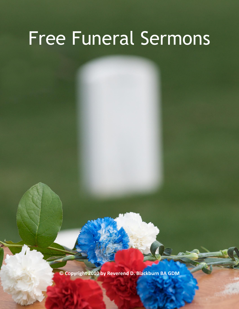# Free Funeral Sermons

**© Copyright 2010 by Reverend D. Blackburn BA GDM**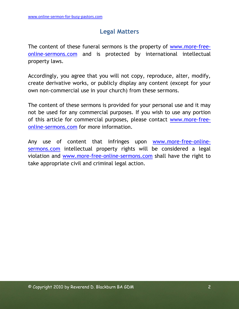# **Legal Matters**

<span id="page-1-0"></span>The content of these funeral sermons is the property of [www.more-free](http://www.more-free-online-sermons.com/)[online-sermons.com](http://www.more-free-online-sermons.com/) and is protected by international intellectual property laws.

Accordingly, you agree that you will not copy, reproduce, alter, modify, create derivative works, or publicly display any content (except for your own non-commercial use in your church) from these sermons.

The content of these sermons is provided for your personal use and it may not be used for any commercial purposes. If you wish to use any portion of this article for commercial purposes, please contact [www.more-free](http://www.more-free-online-sermons.com/)[online-sermons.com](http://www.more-free-online-sermons.com/) for more information.

Any use of content that infringes upon [www.more-free-online](http://www.more-free-online-sermons.com/)[sermons.com](http://www.more-free-online-sermons.com/) intellectual property rights will be considered a legal violation and [www.more-free-online-sermons.com](http://www.more-free-online-sermons.com/) shall have the right to take appropriate civil and criminal legal action.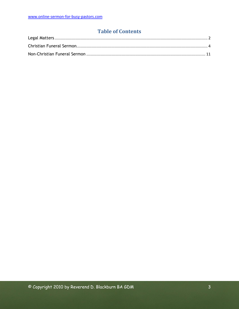## **Table of Contents**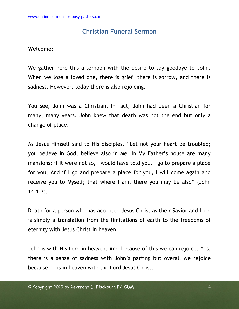# **Christian Funeral Sermon**

#### <span id="page-3-0"></span>**Welcome:**

We gather here this afternoon with the desire to say goodbye to John. When we lose a loved one, there is grief, there is sorrow, and there is sadness. However, today there is also rejoicing.

You see, John was a Christian. In fact, John had been a Christian for many, many years. John knew that death was not the end but only a change of place.

As Jesus Himself said to His disciples, "Let not your heart be troubled; you believe in God, believe also in Me. In My Father"s house are many mansions; if it were not so, I would have told you. I go to prepare a place for you, And if I go and prepare a place for you, I will come again and receive you to Myself; that where I am, there you may be also" (John 14:1-3).

Death for a person who has accepted Jesus Christ as their Savior and Lord is simply a translation from the limitations of earth to the freedoms of eternity with Jesus Christ in heaven.

John is with His Lord in heaven. And because of this we can rejoice. Yes, there is a sense of sadness with John"s parting but overall we rejoice because he is in heaven with the Lord Jesus Christ.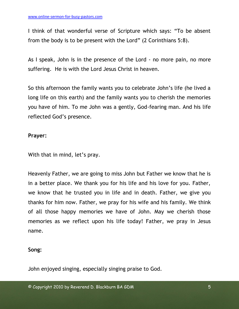I think of that wonderful verse of Scripture which says: "To be absent from the body is to be present with the Lord" (2 Corinthians 5:8).

As I speak, John is in the presence of the Lord - no more pain, no more suffering. He is with the Lord Jesus Christ in heaven.

So this afternoon the family wants you to celebrate John"s life (he lived a long life on this earth) and the family wants you to cherish the memories you have of him. To me John was a gently, God-fearing man. And his life reflected God"s presence.

#### **Prayer:**

With that in mind, let's pray.

Heavenly Father, we are going to miss John but Father we know that he is in a better place. We thank you for his life and his love for you. Father, we know that he trusted you in life and in death. Father, we give you thanks for him now. Father, we pray for his wife and his family. We think of all those happy memories we have of John. May we cherish those memories as we reflect upon his life today! Father, we pray in Jesus name.

#### **Song:**

John enjoyed singing, especially singing praise to God.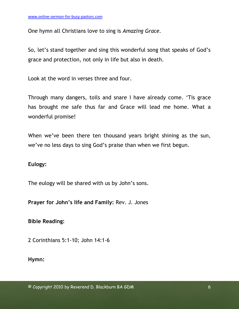One hymn all Christians love to sing is *Amazing Grace.*

So, let's stand together and sing this wonderful song that speaks of God's grace and protection, not only in life but also in death.

Look at the word in verses three and four.

Through many dangers, toils and snare I have already come. "Tis grace has brought me safe thus far and Grace will lead me home. What a wonderful promise!

When we've been there ten thousand years bright shining as the sun, we"ve no less days to sing God"s praise than when we first begun.

#### **Eulogy:**

The eulogy will be shared with us by John"s sons.

**Prayer for John's life and Family:** Rev. J. Jones

**Bible Reading:**

2 Corinthians 5:1-10; John 14:1-6

**Hymn:**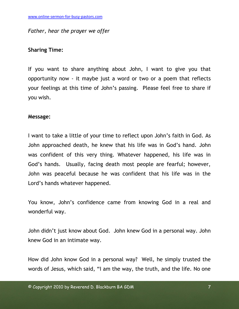#### *Father, hear the prayer we offer*

#### **Sharing Time:**

If you want to share anything about John, I want to give you that opportunity now - it maybe just a word or two or a poem that reflects your feelings at this time of John"s passing. Please feel free to share if you wish.

#### **Message:**

I want to take a little of your time to reflect upon John"s faith in God. As John approached death, he knew that his life was in God"s hand. John was confident of this very thing. Whatever happened, his life was in God"s hands. Usually, facing death most people are fearful; however, John was peaceful because he was confident that his life was in the Lord"s hands whatever happened.

You know, John"s confidence came from knowing God in a real and wonderful way.

John didn"t just know about God. John knew God in a personal way. John knew God in an intimate way.

How did John know God in a personal way? Well, he simply trusted the words of Jesus, which said, "I am the way, the truth, and the life. No one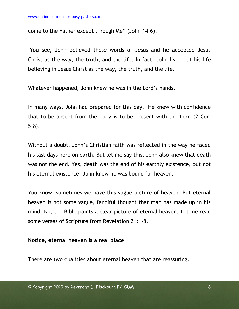come to the Father except through Me" (John 14:6).

You see, John believed those words of Jesus and he accepted Jesus Christ as the way, the truth, and the life. In fact, John lived out his life believing in Jesus Christ as the way, the truth, and the life.

Whatever happened, John knew he was in the Lord"s hands.

In many ways, John had prepared for this day. He knew with confidence that to be absent from the body is to be present with the Lord (2 Cor. 5:8).

Without a doubt, John"s Christian faith was reflected in the way he faced his last days here on earth. But let me say this, John also knew that death was not the end. Yes, death was the end of his earthly existence, but not his eternal existence. John knew he was bound for heaven.

You know, sometimes we have this vague picture of heaven. But eternal heaven is not some vague, fanciful thought that man has made up in his mind. No, the Bible paints a clear picture of eternal heaven. Let me read some verses of Scripture from Revelation 21:1-8.

#### **Notice, eternal heaven is a real place**

There are two qualities about eternal heaven that are reassuring.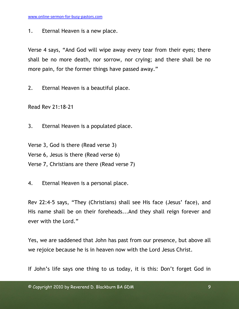1. Eternal Heaven is a new place.

Verse 4 says, "And God will wipe away every tear from their eyes; there shall be no more death, nor sorrow, nor crying; and there shall be no more pain, for the former things have passed away."

2. Eternal Heaven is a beautiful place.

Read Rev 21:18-21

3. Eternal Heaven is a populated place.

Verse 3, God is there (Read verse 3) Verse 6, Jesus is there (Read verse 6) Verse 7, Christians are there (Read verse 7)

4. Eternal Heaven is a personal place.

Rev 22:4-5 says, "They (Christians) shall see His face (Jesus" face), and His name shall be on their foreheads...And they shall reign forever and ever with the Lord."

Yes, we are saddened that John has past from our presence, but above all we rejoice because he is in heaven now with the Lord Jesus Christ.

If John's life says one thing to us today, it is this: Don't forget God in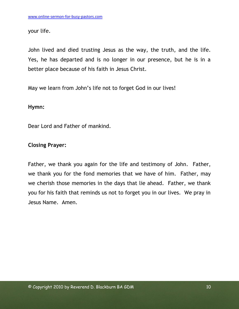your life.

John lived and died trusting Jesus as the way, the truth, and the life. Yes, he has departed and is no longer in our presence, but he is in a better place because of his faith in Jesus Christ.

May we learn from John"s life not to forget God in our lives!

#### **Hymn:**

Dear Lord and Father of mankind.

### **Closing Prayer:**

Father, we thank you again for the life and testimony of John. Father, we thank you for the fond memories that we have of him. Father, may we cherish those memories in the days that lie ahead. Father, we thank you for his faith that reminds us not to forget you in our lives. We pray in Jesus Name. Amen.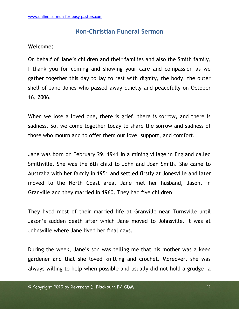# **Non-Christian Funeral Sermon**

#### <span id="page-10-0"></span>**Welcome:**

On behalf of Jane"s children and their families and also the Smith family, I thank you for coming and showing your care and compassion as we gather together this day to lay to rest with dignity, the body, the outer shell of Jane Jones who passed away quietly and peacefully on October 16, 2006.

When we lose a loved one, there is grief, there is sorrow, and there is sadness. So, we come together today to share the sorrow and sadness of those who mourn and to offer them our love, support, and comfort.

Jane was born on February 29, 1941 in a mining village in England called Smithville. She was the 6th child to John and Joan Smith. She came to Australia with her family in 1951 and settled firstly at Jonesville and later moved to the North Coast area. Jane met her husband, Jason, in Granville and they married in 1960. They had five children.

They lived most of their married life at Granville near Turnsville until Jason"s sudden death after which Jane moved to Johnsville. It was at Johnsville where Jane lived her final days.

During the week, Jane"s son was telling me that his mother was a keen gardener and that she loved knitting and crochet. Moreover, she was always willing to help when possible and usually did not hold a grudge—a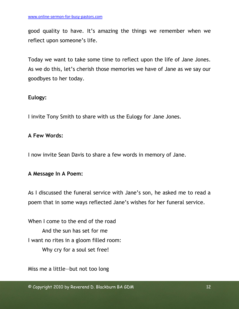good quality to have. It"s amazing the things we remember when we reflect upon someone's life.

Today we want to take some time to reflect upon the life of Jane Jones. As we do this, let's cherish those memories we have of Jane as we say our goodbyes to her today.

### **Eulogy:**

I invite Tony Smith to share with us the Eulogy for Jane Jones.

#### **A Few Words:**

I now invite Sean Davis to share a few words in memory of Jane.

#### **A Message In A Poem:**

As I discussed the funeral service with Jane"s son, he asked me to read a poem that in some ways reflected Jane"s wishes for her funeral service.

When I come to the end of the road And the sun has set for me I want no rites in a gloom filled room: Why cry for a soul set free!

Miss me a little—but not too long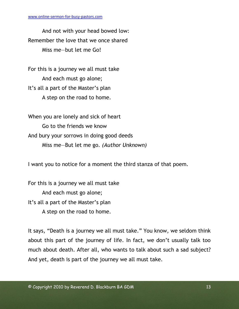And not with your head bowed low: Remember the love that we once shared Miss me—but let me Go!

For this is a journey we all must take And each must go alone; It's all a part of the Master's plan A step on the road to home.

When you are lonely and sick of heart Go to the friends we know And bury your sorrows in doing good deeds Miss me—But let me go*. (Author Unknown)*

I want you to notice for a moment the third stanza of that poem.

For this is a journey we all must take And each must go alone; It's all a part of the Master's plan A step on the road to home.

It says, "Death is a journey we all must take." You know, we seldom think about this part of the journey of life. In fact, we don"t usually talk too much about death. After all, who wants to talk about such a sad subject? And yet, death is part of the journey we all must take.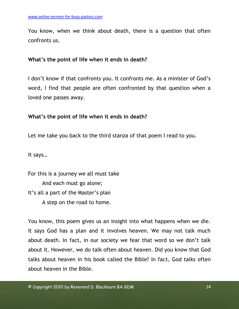You know, when we think about death, there is a question that often confronts us.

## **What's the point of life when it ends in death?**

I don't know if that confronts you. It confronts me. As a minister of God's word, I find that people are often confronted by that question when a loved one passes away.

### **What's the point of life when it ends in death?**

Let me take you back to the third stanza of that poem I read to you.

It says…

For this is a journey we all must take And each must go alone; It"s all a part of the Master"s plan A step on the road to home.

You know, this poem gives us an insight into what happens when we die. It says God has a plan and it involves heaven. We may not talk much about death. In fact, in our society we fear that word so we don"t talk about it. However, we do talk often about heaven. Did you know that God talks about heaven in his book called the Bible? In fact, God talks often about heaven in the Bible.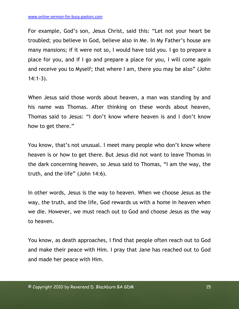For example, God"s son, Jesus Christ, said this: "Let not your heart be troubled; you believe in God, believe also in Me. In My Father"s house are many mansions; if it were not so, I would have told you. I go to prepare a place for you, and if I go and prepare a place for you, I will come again and receive you to Myself; that where I am, there you may be also" (John 14:1-3).

When Jesus said those words about heaven, a man was standing by and his name was Thomas. After thinking on these words about heaven, Thomas said to Jesus: "I don"t know where heaven is and I don"t know how to get there."

You know, that's not unusual. I meet many people who don't know where heaven is or how to get there. But Jesus did not want to leave Thomas in the dark concerning heaven, so Jesus said to Thomas, "I am the way, the truth, and the life" (John 14:6).

In other words, Jesus is the way to heaven. When we choose Jesus as the way, the truth, and the life, God rewards us with a home in heaven when we die. However, we must reach out to God and choose Jesus as the way to heaven.

You know, as death approaches, I find that people often reach out to God and make their peace with Him. I pray that Jane has reached out to God and made her peace with Him.